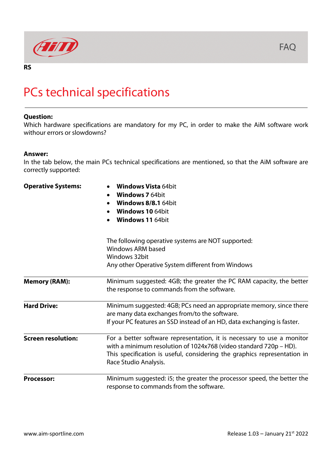

## **RS**

## PCs technical specifications

## **Question:**

Which hardware specifications are mandatory for my PC, in order to make the AiM software work withour errors or slowdowns?

## **Answer:**

In the tab below, the main PCs technical specifications are mentioned, so that the AiM software are correctly supported:

| <b>Operative Systems:</b> | <b>Windows Vista 64bit</b><br><b>Windows 7 64bit</b><br><b>Windows 8/8.1 64bit</b><br><b>Windows 10 64bit</b><br><b>Windows 11 64bit</b>                                                                                                         |
|---------------------------|--------------------------------------------------------------------------------------------------------------------------------------------------------------------------------------------------------------------------------------------------|
|                           | The following operative systems are NOT supported:<br><b>Windows ARM based</b><br>Windows 32bit<br>Any other Operative System different from Windows                                                                                             |
| <b>Memory (RAM):</b>      | Minimum suggested: 4GB; the greater the PC RAM capacity, the better<br>the response to commands from the software.                                                                                                                               |
| <b>Hard Drive:</b>        | Minimum suggested: 4GB; PCs need an appropriate memory, since there<br>are many data exchanges from/to the software.<br>If your PC features an SSD instead of an HD, data exchanging is faster.                                                  |
| <b>Screen resolution:</b> | For a better software representation, it is necessary to use a monitor<br>with a minimum resolution of 1024x768 (video standard 720p - HD).<br>This specification is useful, considering the graphics representation in<br>Race Studio Analysis. |
| <b>Processor:</b>         | Minimum suggested: i5; the greater the processor speed, the better the<br>response to commands from the software.                                                                                                                                |